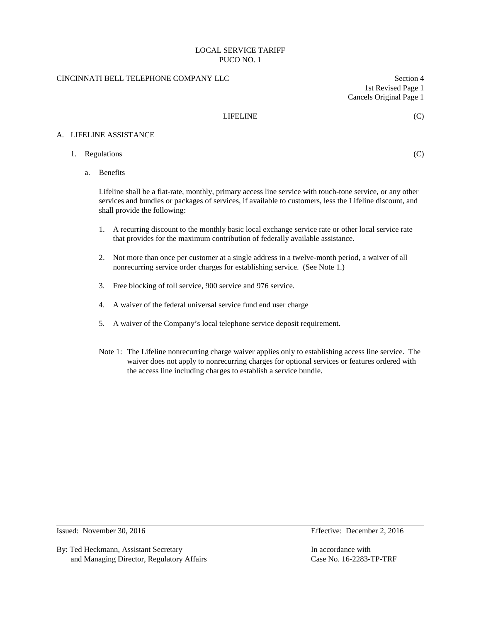## CINCINNATI BELL TELEPHONE COMPANY LLC Section 4

1st Revised Page 1 Cancels Original Page 1

### LIFELINE (C)

A. LIFELINE ASSISTANCE

1. Regulations (C)

a. Benefits

Lifeline shall be a flat-rate, monthly, primary access line service with touch-tone service, or any other services and bundles or packages of services, if available to customers, less the Lifeline discount, and shall provide the following:

- 1. A recurring discount to the monthly basic local exchange service rate or other local service rate that provides for the maximum contribution of federally available assistance.
- 2. Not more than once per customer at a single address in a twelve-month period, a waiver of all nonrecurring service order charges for establishing service. (See Note 1.)
- 3. Free blocking of toll service, 900 service and 976 service.
- 4. A waiver of the federal universal service fund end user charge
- 5. A waiver of the Company's local telephone service deposit requirement.
- Note 1: The Lifeline nonrecurring charge waiver applies only to establishing access line service. The waiver does not apply to nonrecurring charges for optional services or features ordered with the access line including charges to establish a service bundle.

Issued: November 30, 2016 Effective: December 2, 2016

By: Ted Heckmann, Assistant Secretary **In accordance with** In accordance with and Managing Director, Regulatory Affairs Case No. 16-2283-TP-TRF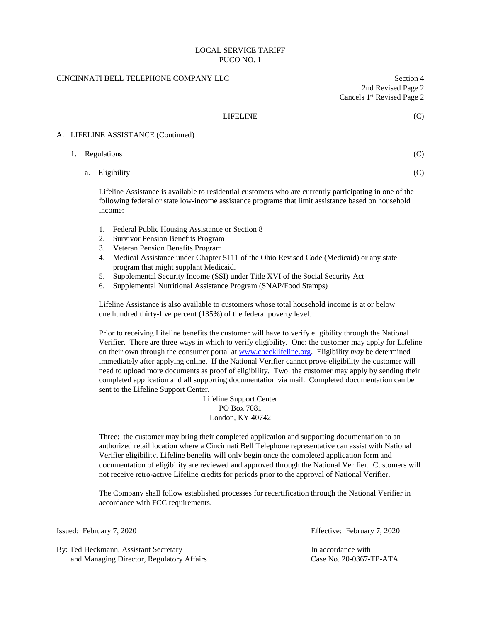## CINCINNATI BELL TELEPHONE COMPANY LLC Section 4

2nd Revised Page 2 Cancels 1st Revised Page 2

### LIFELINE (C)

### A. LIFELINE ASSISTANCE (Continued)

| 1. Regulations |  | $\sim$ |
|----------------|--|--------|
|                |  |        |

a. Eligibility (C)

Lifeline Assistance is available to residential customers who are currently participating in one of the following federal or state low-income assistance programs that limit assistance based on household income:

- 1. Federal Public Housing Assistance or Section 8
- 2. Survivor Pension Benefits Program
- 3. Veteran Pension Benefits Program
- 4. Medical Assistance under Chapter 5111 of the Ohio Revised Code (Medicaid) or any state program that might supplant Medicaid.
- 5. Supplemental Security Income (SSI) under Title XVI of the Social Security Act
- 6. Supplemental Nutritional Assistance Program (SNAP/Food Stamps)

Lifeline Assistance is also available to customers whose total household income is at or below one hundred thirty-five percent (135%) of the federal poverty level.

Prior to receiving Lifeline benefits the customer will have to verify eligibility through the National Verifier. There are three ways in which to verify eligibility. One: the customer may apply for Lifeline on their own through the consumer portal at [www.checklifeline.org.](http://www.checklifeline.org/) Eligibility *may* be determined immediately after applying online. If the National Verifier cannot prove eligibility the customer will need to upload more documents as proof of eligibility. Two: the customer may apply by sending their completed application and all supporting documentation via mail. Completed documentation can be sent to the Lifeline Support Center.

> Lifeline Support Center PO Box 7081 London, KY 40742

Three: the customer may bring their completed application and supporting documentation to an authorized retail location where a Cincinnati Bell Telephone representative can assist with National Verifier eligibility. Lifeline benefits will only begin once the completed application form and documentation of eligibility are reviewed and approved through the National Verifier. Customers will not receive retro-active Lifeline credits for periods prior to the approval of National Verifier.

The Company shall follow established processes for recertification through the National Verifier in accordance with FCC requirements.

By: Ted Heckmann, Assistant Secretary **In accordance with** In accordance with and Managing Director, Regulatory Affairs Case No. 20-0367-TP-ATA

Issued: February 7, 2020 Effective: February 7, 2020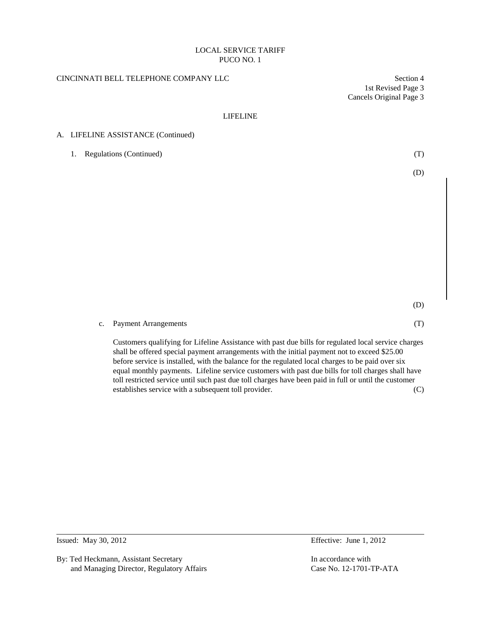## CINCINNATI BELL TELEPHONE COMPANY LLC Section 4

1st Revised Page 3 Cancels Original Page 3

### LIFELINE

## A. LIFELINE ASSISTANCE (Continued)

| 1. Regulations (Continued) | (T) |
|----------------------------|-----|
|                            | (D) |

(D)

### c. Payment Arrangements (T)

Customers qualifying for Lifeline Assistance with past due bills for regulated local service charges shall be offered special payment arrangements with the initial payment not to exceed \$25.00 before service is installed, with the balance for the regulated local charges to be paid over six equal monthly payments. Lifeline service customers with past due bills for toll charges shall have toll restricted service until such past due toll charges have been paid in full or until the customer establishes service with a subsequent toll provider. (C)

By: Ted Heckmann, Assistant Secretary **In accordance with** In accordance with and Managing Director, Regulatory Affairs Case No. 12-1701-TP-ATA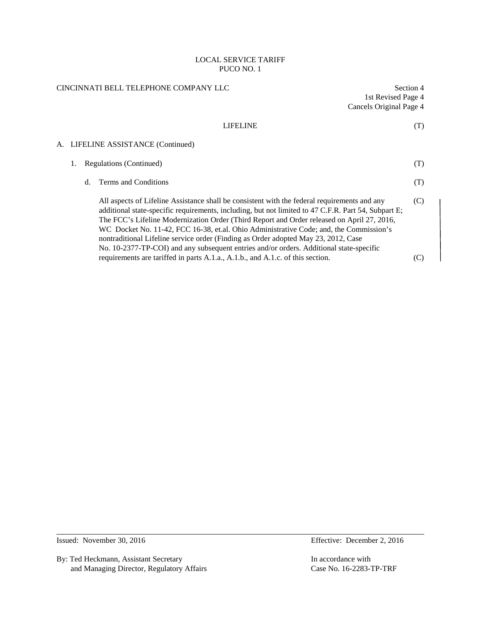| CINCINNATI BELL TELEPHONE COMPANY LLC |  | 1st Revised Page 4<br>Cancels Original Page 4 | Section 4                                                                                                                                                                                                                                                                                                                                                                                                                                                                                                                                                                                                                                                      |            |
|---------------------------------------|--|-----------------------------------------------|----------------------------------------------------------------------------------------------------------------------------------------------------------------------------------------------------------------------------------------------------------------------------------------------------------------------------------------------------------------------------------------------------------------------------------------------------------------------------------------------------------------------------------------------------------------------------------------------------------------------------------------------------------------|------------|
|                                       |  |                                               | <b>LIFELINE</b>                                                                                                                                                                                                                                                                                                                                                                                                                                                                                                                                                                                                                                                | (T)        |
|                                       |  |                                               | A. LIFELINE ASSISTANCE (Continued)                                                                                                                                                                                                                                                                                                                                                                                                                                                                                                                                                                                                                             |            |
|                                       |  |                                               | Regulations (Continued)                                                                                                                                                                                                                                                                                                                                                                                                                                                                                                                                                                                                                                        | (T)        |
|                                       |  | $d_{\cdot}$                                   | Terms and Conditions                                                                                                                                                                                                                                                                                                                                                                                                                                                                                                                                                                                                                                           | (T)        |
|                                       |  |                                               | All aspects of Lifeline Assistance shall be consistent with the federal requirements and any<br>additional state-specific requirements, including, but not limited to 47 C.F.R. Part 54, Subpart E;<br>The FCC's Lifeline Modernization Order (Third Report and Order released on April 27, 2016,<br>WC Docket No. 11-42, FCC 16-38, et.al. Ohio Administrative Code; and, the Commission's<br>nontraditional Lifeline service order (Finding as Order adopted May 23, 2012, Case<br>No. 10-2377-TP-COI) and any subsequent entries and/or orders. Additional state-specific<br>requirements are tariffed in parts A.1.a., A.1.b., and A.1.c. of this section. | (C)<br>(C) |
|                                       |  |                                               |                                                                                                                                                                                                                                                                                                                                                                                                                                                                                                                                                                                                                                                                |            |

By: Ted Heckmann, Assistant Secretary In accordance with and Managing Director, Regulatory Affairs Case No. 16-2283-TP-TRF

Issued: November 30, 2016 Effective: December 2, 2016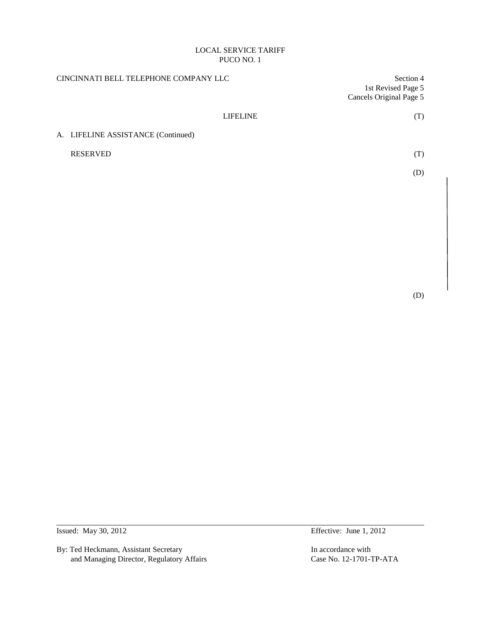| CINCINNATI BELL TELEPHONE COMPANY LLC |                         | Section 4 |  |
|---------------------------------------|-------------------------|-----------|--|
|                                       | 1st Revised Page 5      |           |  |
|                                       | Cancels Original Page 5 |           |  |
| <b>LIFELINE</b>                       |                         | (T)       |  |
| A. LIFELINE ASSISTANCE (Continued)    |                         |           |  |
| <b>RESERVED</b>                       |                         | (T)       |  |
|                                       |                         | (D)       |  |
|                                       |                         |           |  |
|                                       |                         |           |  |

By: Ted Heckmann, Assistant Secretary In accordance with<br>
and Managing Director, Regulatory Affairs<br>
Case No. 12-1701-TP-ATA and Managing Director, Regulatory Affairs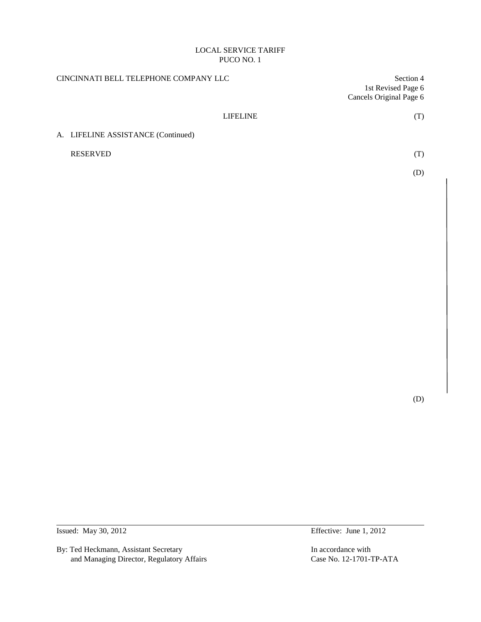| CINCINNATI BELL TELEPHONE COMPANY LLC |                                    | Section 4               |
|---------------------------------------|------------------------------------|-------------------------|
|                                       |                                    | 1st Revised Page 6      |
|                                       |                                    | Cancels Original Page 6 |
|                                       | <b>LIFELINE</b>                    | (T)                     |
|                                       | A. LIFELINE ASSISTANCE (Continued) |                         |
|                                       | <b>RESERVED</b>                    | (T)                     |
|                                       |                                    | (D)                     |
|                                       |                                    |                         |

(D)

By: Ted Heckmann, Assistant Secretary In accordance with<br>
and Managing Director, Regulatory Affairs<br>
Case No. 12-1701-TP-ATA and Managing Director, Regulatory Affairs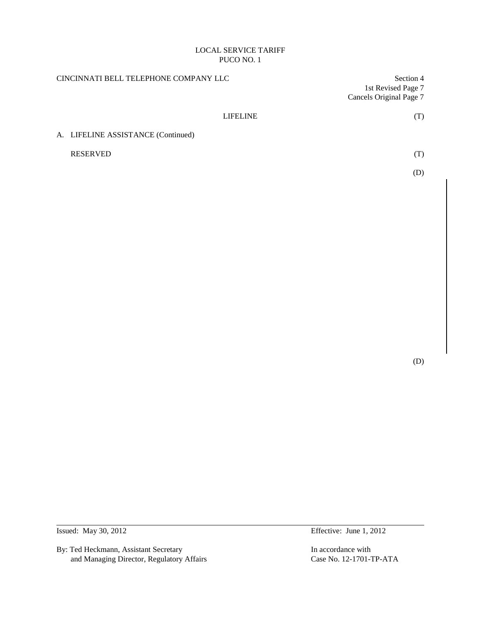| CINCINNATI BELL TELEPHONE COMPANY LLC | Section 4<br>1st Revised Page 7 |  |
|---------------------------------------|---------------------------------|--|
|                                       | Cancels Original Page 7         |  |
| <b>LIFELINE</b>                       | (T)                             |  |
| A. LIFELINE ASSISTANCE (Continued)    |                                 |  |
| <b>RESERVED</b>                       | (T)                             |  |
|                                       | (D)                             |  |
|                                       |                                 |  |

(D)

By: Ted Heckmann, Assistant Secretary In accordance with<br>
and Managing Director, Regulatory Affairs<br>
Case No. 12-1701-TP-ATA and Managing Director, Regulatory Affairs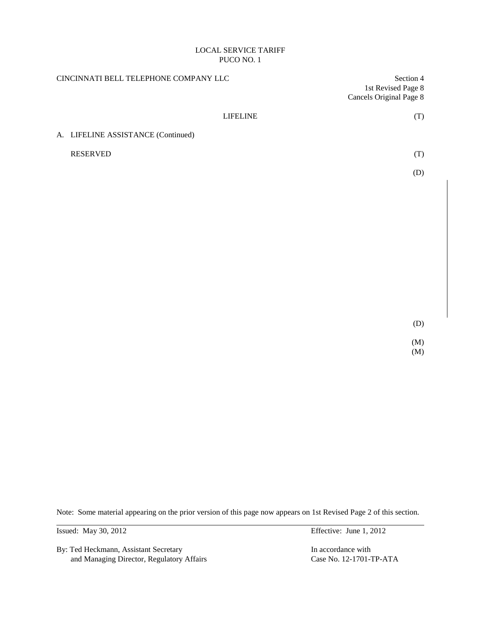| CINCINNATI BELL TELEPHONE COMPANY LLC |                 | Section 4<br>1st Revised Page 8<br><b>Cancels Original Page 8</b> |  |
|---------------------------------------|-----------------|-------------------------------------------------------------------|--|
|                                       | <b>LIFELINE</b> | (T)                                                               |  |
| A. LIFELINE ASSISTANCE (Continued)    |                 |                                                                   |  |
| <b>RESERVED</b>                       |                 | (T)                                                               |  |
|                                       |                 | (D)                                                               |  |
|                                       |                 |                                                                   |  |
|                                       |                 |                                                                   |  |
|                                       |                 |                                                                   |  |
|                                       |                 |                                                                   |  |
|                                       |                 |                                                                   |  |
|                                       |                 |                                                                   |  |
|                                       |                 |                                                                   |  |
|                                       |                 | (2)                                                               |  |

(D)

(M) (M)

Note: Some material appearing on the prior version of this page now appears on 1st Revised Page 2 of this section.

By: Ted Heckmann, Assistant Secretary In accordance with and Managing Director, Regulatory Affairs Case No. 12-1701-TP-ATA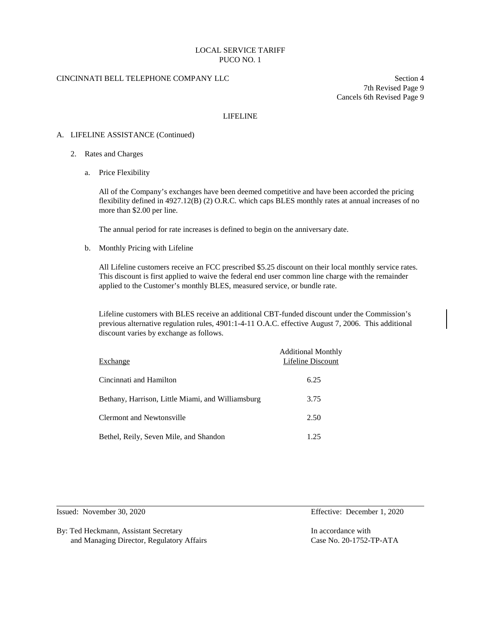### CINCINNATI BELL TELEPHONE COMPANY LLC Section 4

7th Revised Page 9 Cancels 6th Revised Page 9

#### LIFELINE

#### A. LIFELINE ASSISTANCE (Continued)

- 2. Rates and Charges
	- a. Price Flexibility

All of the Company's exchanges have been deemed competitive and have been accorded the pricing flexibility defined in 4927.12(B) (2) O.R.C. which caps BLES monthly rates at annual increases of no more than \$2.00 per line.

The annual period for rate increases is defined to begin on the anniversary date.

b. Monthly Pricing with Lifeline

All Lifeline customers receive an FCC prescribed \$5.25 discount on their local monthly service rates. This discount is first applied to waive the federal end user common line charge with the remainder applied to the Customer's monthly BLES, measured service, or bundle rate.

Lifeline customers with BLES receive an additional CBT-funded discount under the Commission's previous alternative regulation rules, 4901:1-4-11 O.A.C. effective August 7, 2006. This additional discount varies by exchange as follows.

| Exchange                                          | <b>Additional Monthly</b><br>Lifeline Discount |
|---------------------------------------------------|------------------------------------------------|
| Cincinnati and Hamilton                           | 6.25                                           |
| Bethany, Harrison, Little Miami, and Williamsburg | 3.75                                           |
| <b>Clermont and Newtonsville</b>                  | 2.50                                           |
| Bethel, Reily, Seven Mile, and Shandon            | 1.25                                           |

By: Ted Heckmann, Assistant Secretary **In accordance with** In accordance with and Managing Director, Regulatory Affairs Case No. 20-1752-TP-ATA

Issued: November 30, 2020 Effective: December 1, 2020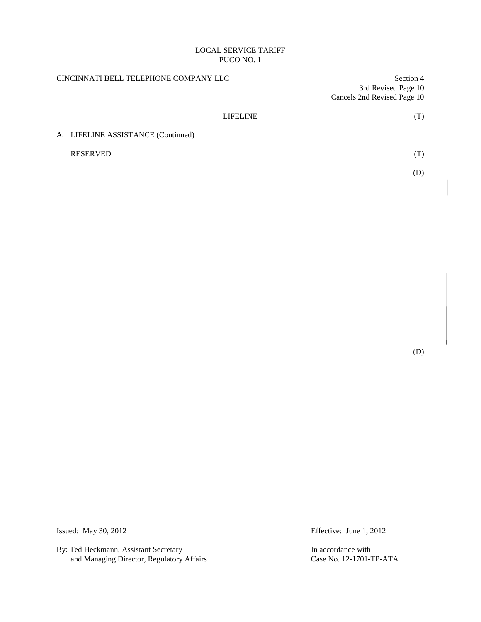| CINCINNATI BELL TELEPHONE COMPANY LLC | Section 4<br>3rd Revised Page 10<br>Cancels 2nd Revised Page 10 |  |
|---------------------------------------|-----------------------------------------------------------------|--|
| <b>LIFELINE</b>                       | (T)                                                             |  |
| A. LIFELINE ASSISTANCE (Continued)    |                                                                 |  |
| <b>RESERVED</b>                       | (T)                                                             |  |
|                                       | (D)                                                             |  |
|                                       |                                                                 |  |

(D)

By: Ted Heckmann, Assistant Secretary In accordance with<br>
and Managing Director, Regulatory Affairs<br>
Case No. 12-1701-TP-ATA and Managing Director, Regulatory Affairs